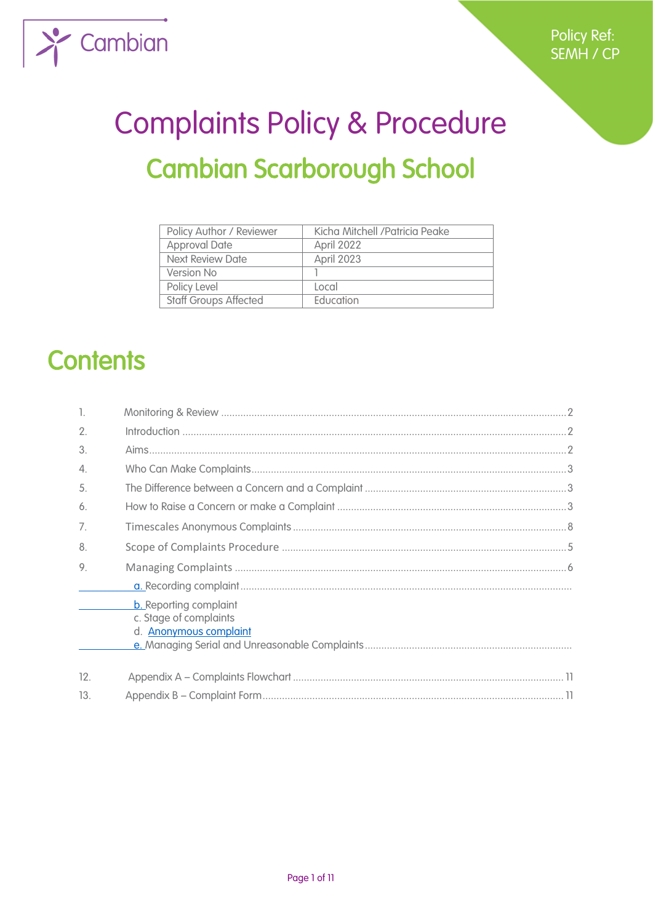

# Complaints Policy & Procedure Cambian Scarborough School

| Policy Author / Reviewer     | Kicha Mitchell / Patricia Peake |
|------------------------------|---------------------------------|
| <b>Approval Date</b>         | April 2022                      |
| Next Review Date             | April 2023                      |
| Version No                   |                                 |
| Policy Level                 | Local                           |
| <b>Staff Groups Affected</b> | <b>Education</b>                |

# **Contents**

| -1. |                                                                                          |
|-----|------------------------------------------------------------------------------------------|
| 2.  |                                                                                          |
| 3.  |                                                                                          |
| 4.  |                                                                                          |
| 5.  |                                                                                          |
| 6.  |                                                                                          |
| 7.  |                                                                                          |
| 8.  |                                                                                          |
| 9.  |                                                                                          |
|     |                                                                                          |
|     | <b>b.</b> Reporting complaint<br>c. Stage of complaints<br>d. <b>Anonymous complaint</b> |
| 12. |                                                                                          |
| 13. |                                                                                          |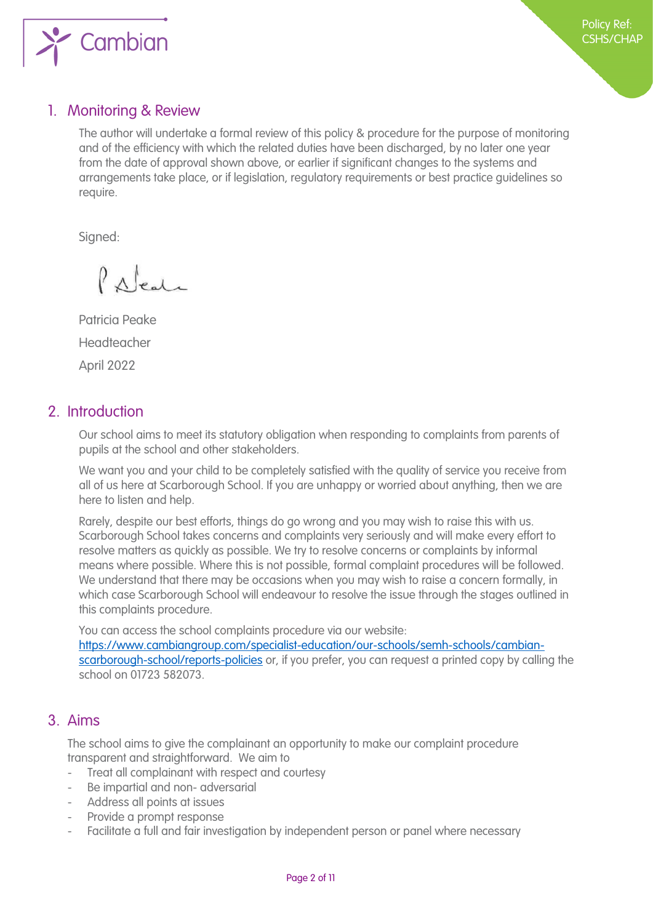

# <span id="page-1-0"></span>1. Monitoring & Review

The author will undertake a formal review of this policy & procedure for the purpose of monitoring and of the efficiency with which the related duties have been discharged, by no later one year from the date of approval shown above, or earlier if significant changes to the systems and arrangements take place, or if legislation, regulatory requirements or best practice guidelines so require.

Signed:

Palent

Patricia Peake Headteacher April 2022

# <span id="page-1-1"></span>2. Introduction

Our school aims to meet its statutory obligation when responding to complaints from parents of pupils at the school and other stakeholders.

We want you and your child to be completely satisfied with the quality of service you receive from all of us here at Scarborough School. If you are unhappy or worried about anything, then we are here to listen and help.

Rarely, despite our best efforts, things do go wrong and you may wish to raise this with us. Scarborough School takes concerns and complaints very seriously and will make every effort to resolve matters as quickly as possible. We try to resolve concerns or complaints by informal means where possible. Where this is not possible, formal complaint procedures will be followed. We understand that there may be occasions when you may wish to raise a concern formally, in which case Scarborough School will endeavour to resolve the issue through the stages outlined in this complaints procedure.

You can access the school complaints procedure via our website: [https://www.cambiangroup.com/specialist-education/our-schools/semh-schools/cambian](https://www.cambiangroup.com/specialist-education/our-schools/semh-schools/cambian-scarborough-school/reports-policies)[scarborough-school/reports-policies](https://www.cambiangroup.com/specialist-education/our-schools/semh-schools/cambian-scarborough-school/reports-policies) or, if you prefer, you can request a printed copy by calling the school on 01723 582073.

# <span id="page-1-2"></span>3. Aims

The school aims to give the complainant an opportunity to make our complaint procedure transparent and straightforward. We aim to

- Treat all complainant with respect and courtesy
- Be impartial and non- adversarial
- Address all points at issues
- Provide a prompt response
- Facilitate a full and fair investigation by independent person or panel where necessary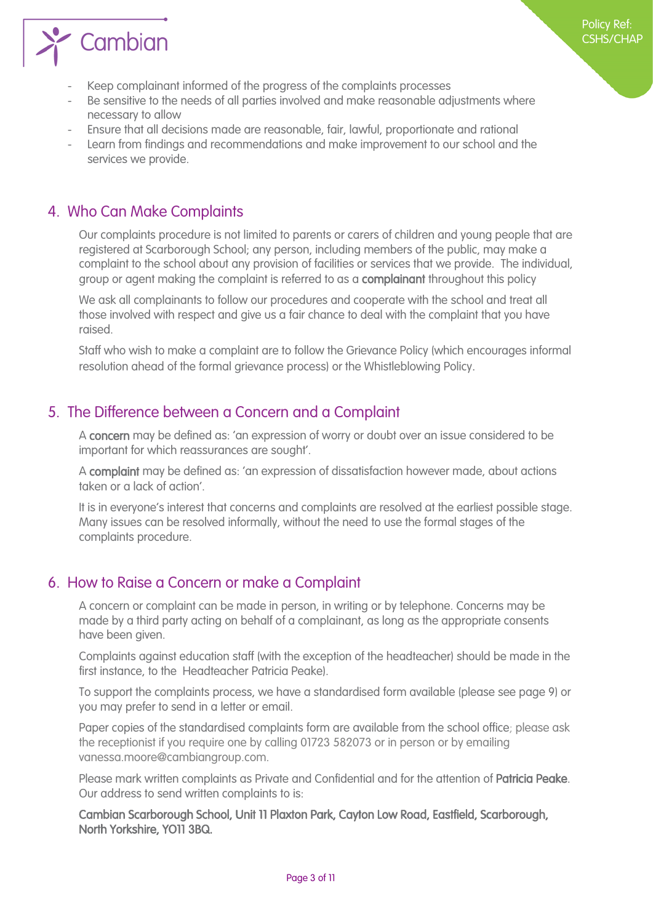

- Keep complainant informed of the progress of the complaints processes
- Be sensitive to the needs of all parties involved and make reasonable adjustments where necessary to allow
- Ensure that all decisions made are reasonable, fair, lawful, proportionate and rational
- Learn from findings and recommendations and make improvement to our school and the services we provide.

# <span id="page-2-0"></span>4. Who Can Make Complaints

Our complaints procedure is not limited to parents or carers of children and young people that are registered at Scarborough School; any person, including members of the public, may make a complaint to the school about any provision of facilities or services that we provide. The individual, group or agent making the complaint is referred to as a complainant throughout this policy

We ask all complainants to follow our procedures and cooperate with the school and treat all those involved with respect and give us a fair chance to deal with the complaint that you have raised.

Staff who wish to make a complaint are to follow the Grievance Policy (which encourages informal resolution ahead of the formal grievance process) or the Whistleblowing Policy.

# <span id="page-2-1"></span>5. The Difference between a Concern and a Complaint

A concern may be defined as: 'an expression of worry or doubt over an issue considered to be important for which reassurances are sought'.

A complaint may be defined as: 'an expression of dissatisfaction however made, about actions taken or a lack of action'.

It is in everyone's interest that concerns and complaints are resolved at the earliest possible stage. Many issues can be resolved informally, without the need to use the formal stages of the complaints procedure.

# <span id="page-2-2"></span>6. How to Raise a Concern or make a Complaint

A concern or complaint can be made in person, in writing or by telephone. Concerns may be made by a third party acting on behalf of a complainant, as long as the appropriate consents have been given.

Complaints against education staff (with the exception of the headteacher) should be made in the first instance, to the Headteacher Patricia Peake).

To support the complaints process, we have a standardised form available (please see page 9) or you may prefer to send in a letter or email.

Paper copies of the standardised complaints form are available from the school office; please ask the receptionist if you require one by calling 01723 582073 or in person or by emailing vanessa.moore@cambiangroup.com.

Please mark written complaints as Private and Confidential and for the attention of Patricia Peake. Our address to send written complaints to is:

Cambian Scarborough School, Unit 11 Plaxton Park, Cayton Low Road, Eastfield, Scarborough, North Yorkshire, YO11 3BQ.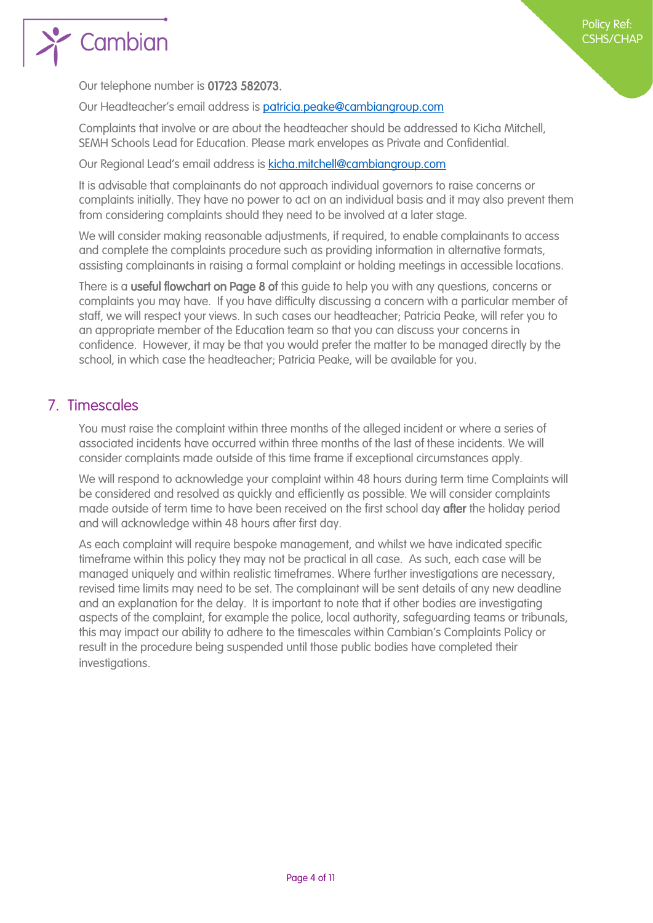

Our telephone number is 01723 582073.

Our Headteacher's email address is [patricia.peake@cambiangroup.com](mailto:patricia.peake@cambiangroup.com)

Complaints that involve or are about the headteacher should be addressed to Kicha Mitchell, SEMH Schools Lead for Education. Please mark envelopes as Private and Confidential.

Our Regional Lead's email address is [kicha.mitchell@cambiangroup.com](mailto:kicha.mitchell@cambiangroup.com)

It is advisable that complainants do not approach individual governors to raise concerns or complaints initially. They have no power to act on an individual basis and it may also prevent them from considering complaints should they need to be involved at a later stage.

We will consider making reasonable adjustments, if required, to enable complainants to access and complete the complaints procedure such as providing information in alternative formats, assisting complainants in raising a formal complaint or holding meetings in accessible locations.

There is a useful flowchart on Page 8 of this quide to help you with any questions, concerns or complaints you may have. If you have difficulty discussing a concern with a particular member of staff, we will respect your views. In such cases our headteacher; Patricia Peake, will refer you to an appropriate member of the Education team so that you can discuss your concerns in confidence. However, it may be that you would prefer the matter to be managed directly by the school, in which case the headteacher; Patricia Peake, will be available for you.

# <span id="page-3-0"></span>7. Timescales

You must raise the complaint within three months of the alleged incident or where a series of associated incidents have occurred within three months of the last of these incidents. We will consider complaints made outside of this time frame if exceptional circumstances apply.

We will respond to acknowledge your complaint within 48 hours during term time Complaints will be considered and resolved as quickly and efficiently as possible. We will consider complaints made outside of term time to have been received on the first school day after the holiday period and will acknowledge within 48 hours after first day.

As each complaint will require bespoke management, and whilst we have indicated specific timeframe within this policy they may not be practical in all case. As such, each case will be managed uniquely and within realistic timeframes. Where further investigations are necessary, revised time limits may need to be set. The complainant will be sent details of any new deadline and an explanation for the delay. It is important to note that if other bodies are investigating aspects of the complaint, for example the police, local authority, safeguarding teams or tribunals, this may impact our ability to adhere to the timescales within Cambian's Complaints Policy or result in the procedure being suspended until those public bodies have completed their investigations.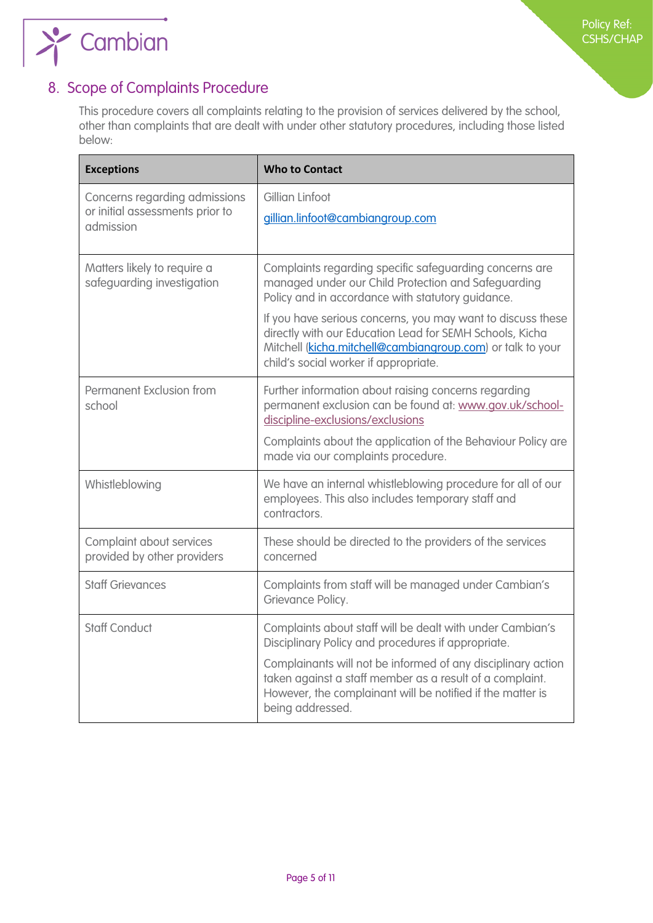

# <span id="page-4-0"></span>8. Scope of Complaints Procedure

 $\rightarrow$  Cambian

This procedure covers all complaints relating to the provision of services delivered by the school, other than complaints that are dealt with under other statutory procedures, including those listed below:

| <b>Exceptions</b>                                                             | <b>Who to Contact</b>                                                                                                                                                                                                                                                                                                                                                                                 |
|-------------------------------------------------------------------------------|-------------------------------------------------------------------------------------------------------------------------------------------------------------------------------------------------------------------------------------------------------------------------------------------------------------------------------------------------------------------------------------------------------|
| Concerns regarding admissions<br>or initial assessments prior to<br>admission | Gillian Linfoot<br>gillian.linfoot@cambiangroup.com                                                                                                                                                                                                                                                                                                                                                   |
| Matters likely to require a<br>safeguarding investigation                     | Complaints regarding specific safeguarding concerns are<br>managed under our Child Protection and Safeguarding<br>Policy and in accordance with statutory guidance.<br>If you have serious concerns, you may want to discuss these<br>directly with our Education Lead for SEMH Schools, Kicha<br>Mitchell (kicha.mitchell@cambiangroup.com) or talk to your<br>child's social worker if appropriate. |
| Permanent Exclusion from<br>school                                            | Further information about raising concerns regarding<br>permanent exclusion can be found at: www.gov.uk/school-<br>discipline-exclusions/exclusions<br>Complaints about the application of the Behaviour Policy are<br>made via our complaints procedure.                                                                                                                                             |
| Whistleblowing                                                                | We have an internal whistleblowing procedure for all of our<br>employees. This also includes temporary staff and<br>contractors.                                                                                                                                                                                                                                                                      |
| Complaint about services<br>provided by other providers                       | These should be directed to the providers of the services<br>concerned                                                                                                                                                                                                                                                                                                                                |
| <b>Staff Grievances</b>                                                       | Complaints from staff will be managed under Cambian's<br>Grievance Policy.                                                                                                                                                                                                                                                                                                                            |
| <b>Staff Conduct</b>                                                          | Complaints about staff will be dealt with under Cambian's<br>Disciplinary Policy and procedures if appropriate.<br>Complainants will not be informed of any disciplinary action<br>taken against a staff member as a result of a complaint.<br>However, the complainant will be notified if the matter is<br>being addressed.                                                                         |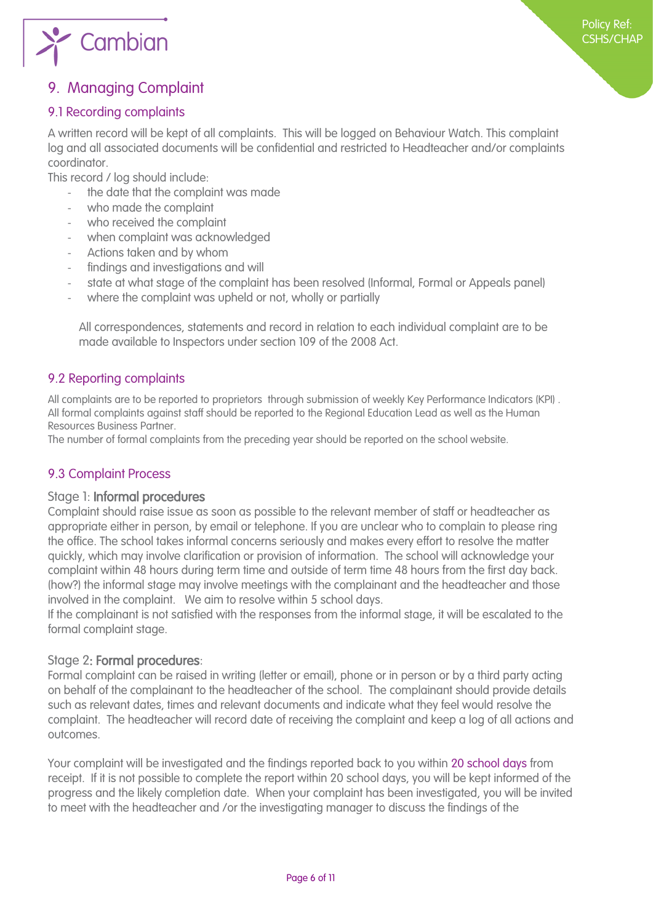

# 9. Managing Complaint

#### <span id="page-5-0"></span>9.1 Recording complaints

A written record will be kept of all complaints. This will be logged on Behaviour Watch. This complaint log and all associated documents will be confidential and restricted to Headteacher and/or complaints coordinator.

This record / log should include:

- the date that the complaint was made
- who made the complaint
- who received the complaint
- when complaint was acknowledged
- Actions taken and by whom
- findings and investigations and will
- state at what stage of the complaint has been resolved (Informal, Formal or Appeals panel)
- where the complaint was upheld or not, wholly or partially

All correspondences, statements and record in relation to each individual complaint are to be made available to Inspectors under section 109 of the 2008 Act.

#### 9.2 Reporting complaints

All complaints are to be reported to proprietors through submission of weekly Key Performance Indicators (KPI) . All formal complaints against staff should be reported to the Regional Education Lead as well as the Human Resources Business Partner.

The number of formal complaints from the preceding year should be reported on the school website.

#### 9.3 Complaint Process

#### Stage 1: Informal procedures

Complaint should raise issue as soon as possible to the relevant member of staff or headteacher as appropriate either in person, by email or telephone. If you are unclear who to complain to please ring the office. The school takes informal concerns seriously and makes every effort to resolve the matter quickly, which may involve clarification or provision of information. The school will acknowledge your complaint within 48 hours during term time and outside of term time 48 hours from the first day back. (how?) the informal stage may involve meetings with the complainant and the headteacher and those involved in the complaint. We aim to resolve within 5 school days.

If the complainant is not satisfied with the responses from the informal stage, it will be escalated to the formal complaint stage.

#### Stage 2: Formal procedures:

Formal complaint can be raised in writing (letter or email), phone or in person or by a third party acting on behalf of the complainant to the headteacher of the school. The complainant should provide details such as relevant dates, times and relevant documents and indicate what they feel would resolve the complaint. The headteacher will record date of receiving the complaint and keep a log of all actions and outcomes.

Your complaint will be investigated and the findings reported back to you within 20 school days from receipt. If it is not possible to complete the report within 20 school days, you will be kept informed of the progress and the likely completion date. When your complaint has been investigated, you will be invited to meet with the headteacher and /or the investigating manager to discuss the findings of the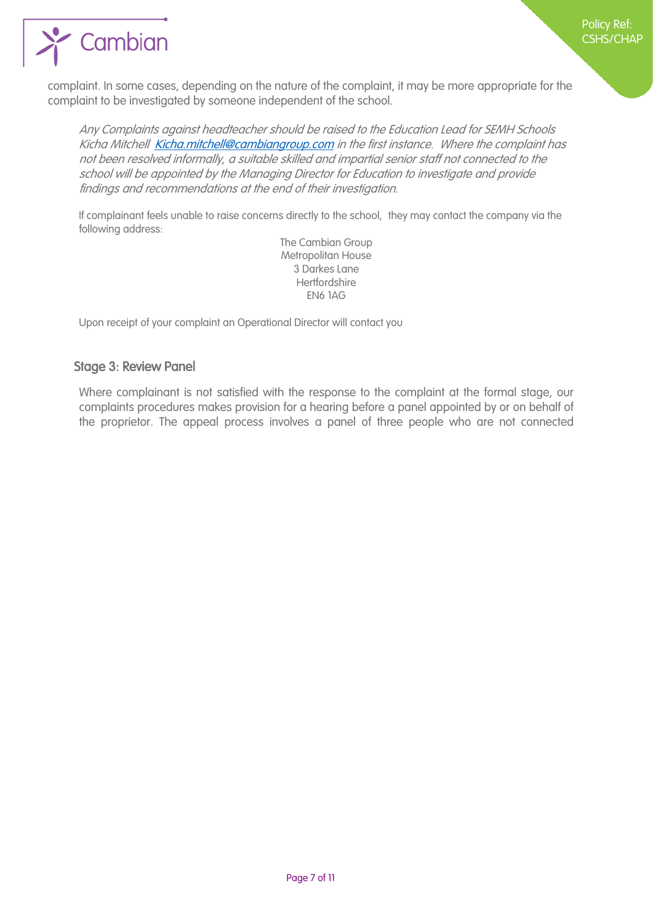

complaint. In some cases, depending on the nature of the complaint, it may be more appropriate for the complaint to be investigated by someone independent of the school.

Any Complaints against headteacher should be raised to the Education Lead for SEMH Schools Kicha Mitchell [Kicha.mitchell@cambiangroup.com](mailto:Kicha.mitchell@cambiangroup.com) in the first instance. Where the complaint has not been resolved informally, a suitable skilled and impartial senior staff not connected to the school will be appointed by the Managing Director for Education to investigate and provide findings and recommendations at the end of their investigation.

If complainant feels unable to raise concerns directly to the school, they may contact the company via the following address:

> The Cambian Group Metropolitan House 3 Darkes Lane **Hertfordshire** EN6 1AG

Upon receipt of your complaint an Operational Director will contact you

#### Stage 3: Review Panel

Where complainant is not satisfied with the response to the complaint at the formal stage, our complaints procedures makes provision for a hearing before a panel appointed by or on behalf of the proprietor. The appeal process involves a panel of three people who are not connected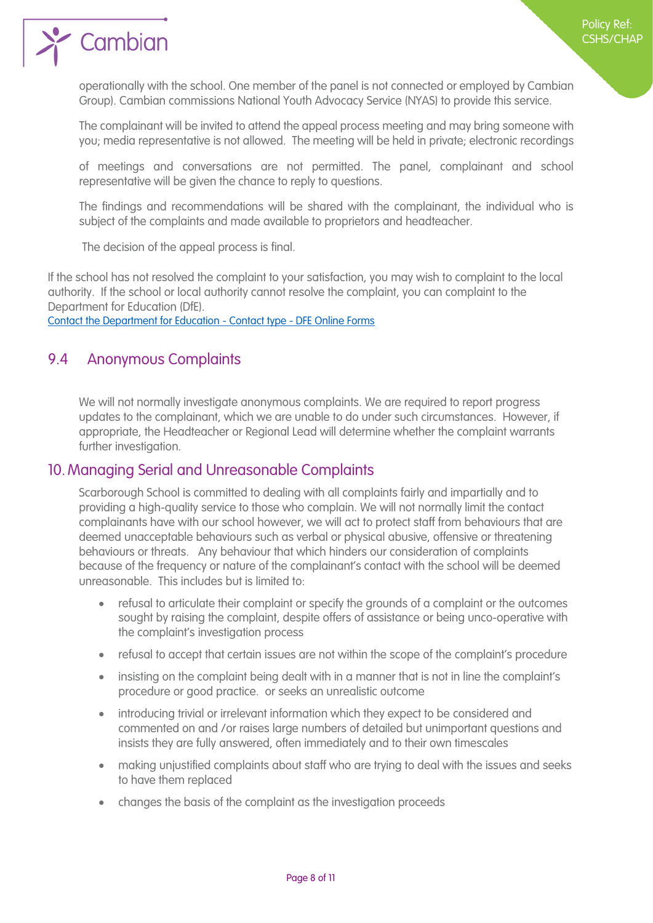$\sum$  Cambian

operationally with the school. One member of the panel is not connected or employed by Cambian Group). Cambian commissions National Youth Advocacy Service (NYAS) to provide this service.

The complainant will be invited to attend the appeal process meeting and may bring someone with you; media representative is not allowed. The meeting will be held in private; electronic recordings

of meetings and conversations are not permitted. The panel, complainant and school representative will be given the chance to reply to questions.

The findings and recommendations will be shared with the complainant, the individual who is subject of the complaints and made available to proprietors and headteacher.

The decision of the appeal process is final.

If the school has not resolved the complaint to your satisfaction, you may wish to complaint to the local authority. If the school or local authority cannot resolve the complaint, you can complaint to the Department for Education (DfE).

[Contact the Department for Education -](https://form.education.gov.uk/service/Contact_the_Department_for_Education) Contact type - DFE Online Forms

# <span id="page-7-0"></span>9.4 Anonymous Complaints

We will not normally investigate anonymous complaints. We are required to report progress updates to the complainant, which we are unable to do under such circumstances. However, if appropriate, the Headteacher or Regional Lead will determine whether the complaint warrants further investigation.

#### <span id="page-7-1"></span>10. Managing Serial and Unreasonable Complaints

Scarborough School is committed to dealing with all complaints fairly and impartially and to providing a high-quality service to those who complain. We will not normally limit the contact complainants have with our school however, we will act to protect staff from behaviours that are deemed unacceptable behaviours such as verbal or physical abusive, offensive or threatening behaviours or threats. Any behaviour that which hinders our consideration of complaints because of the frequency or nature of the complainant's contact with the school will be deemed unreasonable. This includes but is limited to:

- refusal to articulate their complaint or specify the grounds of a complaint or the outcomes sought by raising the complaint, despite offers of assistance or being unco-operative with the complaint's investigation process
- refusal to accept that certain issues are not within the scope of the complaint's procedure
- insisting on the complaint being dealt with in a manner that is not in line the complaint's procedure or good practice. or seeks an unrealistic outcome
- introducing trivial or irrelevant information which they expect to be considered and commented on and /or raises large numbers of detailed but unimportant questions and insists they are fully answered, often immediately and to their own timescales
- making unjustified complaints about staff who are trying to deal with the issues and seeks to have them replaced
- changes the basis of the complaint as the investigation proceeds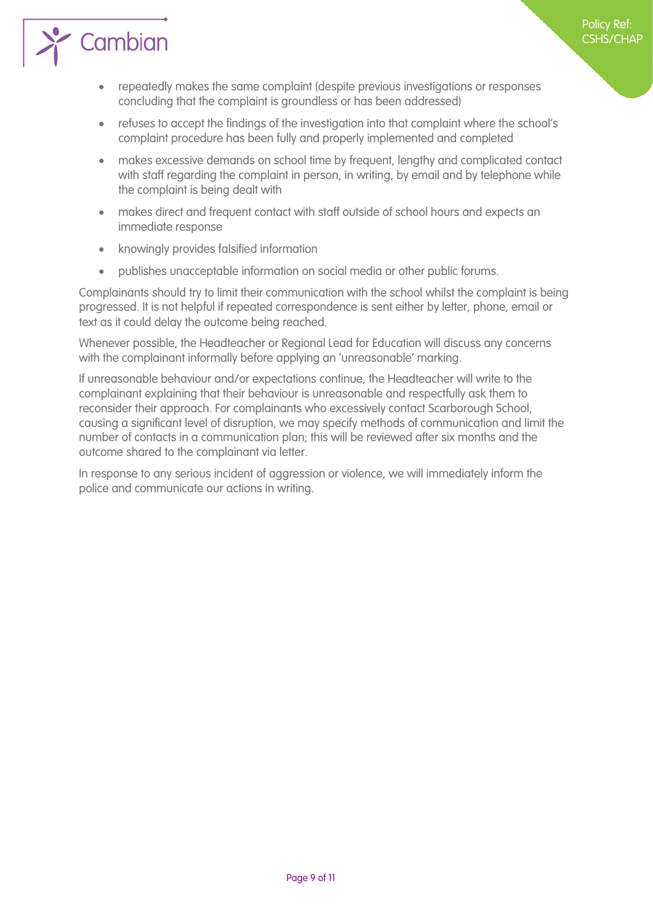

- repeatedly makes the same complaint (despite previous investigations or responses concluding that the complaint is groundless or has been addressed)
- refuses to accept the findings of the investigation into that complaint where the school's complaint procedure has been fully and properly implemented and completed
- makes excessive demands on school time by frequent, lengthy and complicated contact with staff regarding the complaint in person, in writing, by email and by telephone while the complaint is being dealt with
- makes direct and frequent contact with staff outside of school hours and expects an immediate response
- knowingly provides falsified information
- publishes unacceptable information on social media or other public forums.

Complainants should try to limit their communication with the school whilst the complaint is being progressed. It is not helpful if repeated correspondence is sent either by letter, phone, email or text as it could delay the outcome being reached.

Whenever possible, the Headteacher or Regional Lead for Education will discuss any concerns with the complainant informally before applying an 'unreasonable' marking.

If unreasonable behaviour and/or expectations continue, the Headteacher will write to the complainant explaining that their behaviour is unreasonable and respectfully ask them to reconsider their approach. For complainants who excessively contact Scarborough School, causing a significant level of disruption, we may specify methods of communication and limit the number of contacts in a communication plan; this will be reviewed after six months and the outcome shared to the complainant via letter.

In response to any serious incident of aggression or violence, we will immediately inform the police and communicate our actions in writing.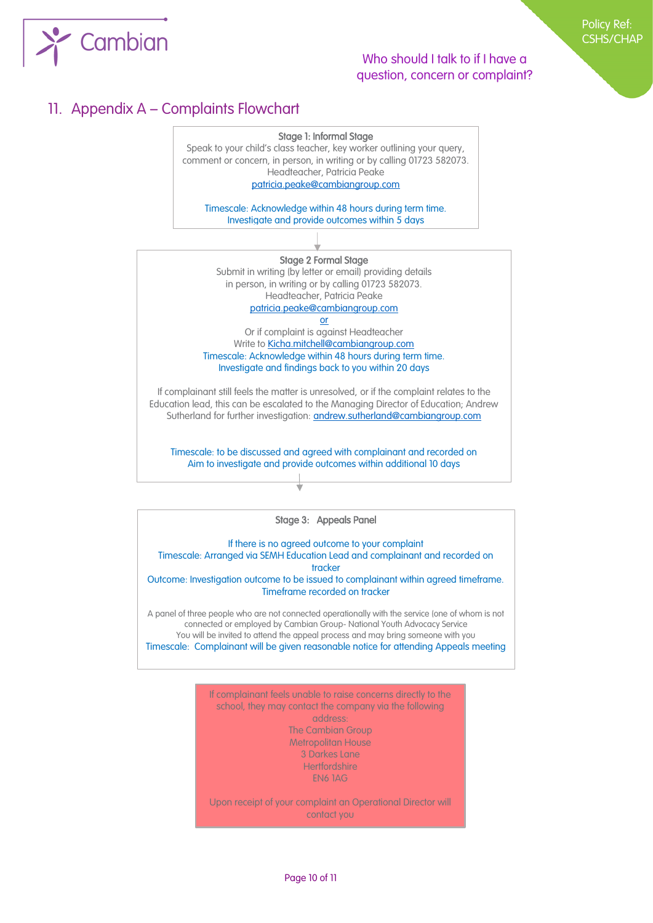

#### Who should I talk to if I have a question, concern or complaint?

# <span id="page-9-0"></span>11. Appendix A – Complaints Flowchart

#### Stage 1: Informal Stage

Speak to your child's class teacher, key worker outlining your query, comment or concern, in person, in writing or by calling 01723 582073. Headteacher, Patricia Peake

[patricia.peake@cambiangroup.com](mailto:patricia.peake@cambiangroup.com)

Timescale: Acknowledge within 48 hours during term time. Investigate and provide outcomes within 5 days

Stage 2 Formal Stage Submit in writing (by letter or email) providing details in person, in writing or by calling 01723 582073. Headteacher, Patricia Peake [patricia.peake@cambiangroup.com](mailto:patricia.peake@cambiangroup.com)

or Or if complaint is against Headteacher Write t[o Kicha.mitchell@cambiangroup.com](mailto:Kicha.mitchell@cambiangroup.com) Timescale: Acknowledge within 48 hours during term time. Investigate and findings back to you within 20 days

If complainant still feels the matter is unresolved, or if the complaint relates to the Education lead, this can be escalated to the Managing Director of Education; Andrew Sutherland for further investigation: **andrew.sutherland@cambiangroup.com** 

Timescale: to be discussed and agreed with complainant and recorded on Aim to investigate and provide outcomes within additional 10 days

Stage 3: Appeals Panel

If there is no agreed outcome to your complaint Timescale: Arranged via SEMH Education Lead and complainant and recorded on tracker Outcome: Investigation outcome to be issued to complainant within agreed timeframe. Timeframe recorded on tracker

A panel of three people who are not connected operationally with the service (one of whom is not connected or employed by Cambian Group- National Youth Advocacy Service You will be invited to attend the appeal process and may bring someone with you Timescale: Complainant will be given reasonable notice for attending Appeals meeting

> If complainant feels unable to raise concerns directly to the school, they may contact the company via the following address: The Cambian Group Metropolitan House 3 Darkes Lane **Hertfordshire** EN6 1AG

> Upon receipt of your complaint an Operational Director will contact you